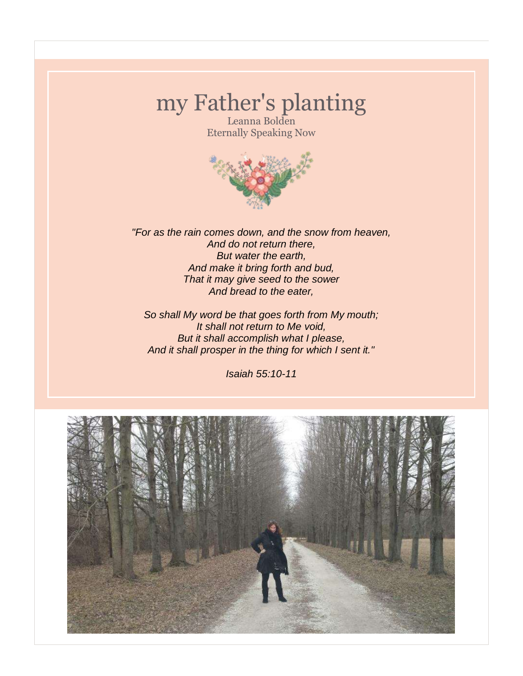# my Father's planting

Leanna Bolden Eternally Speaking Now



*"For as the rain comes down, and the snow from heaven, And do not return there, But water the earth, And make it bring forth and bud, That it may give seed to the sower And bread to the eater,*

*So shall My word be that goes forth from My mouth; It shall not return to Me void, But it shall accomplish what I please, And it shall prosper in the thing for which I sent it."*

*Isaiah 55:10-11*

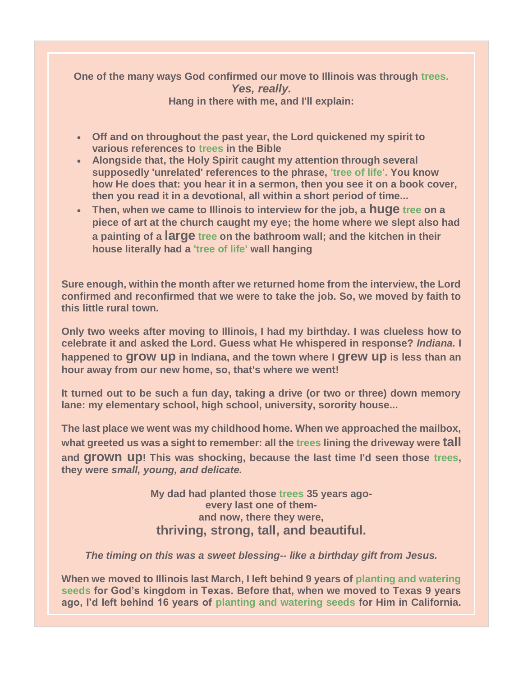#### **One of the many ways God confirmed our move to Illinois was through trees.** *Yes, really.* **Hang in there with me, and I'll explain:**

- **Off and on throughout the past year, the Lord quickened my spirit to various references to trees in the Bible**
- **Alongside that, the Holy Spirit caught my attention through several supposedly 'unrelated' references to the phrase, 'tree of life'. You know how He does that: you hear it in a sermon, then you see it on a book cover, then you read it in a devotional, all within a short period of time...**
- **Then, when we came to Illinois to interview for the job, a huge tree on a piece of art at the church caught my eye; the home where we slept also had a painting of a large tree on the bathroom wall; and the kitchen in their house literally had a 'tree of life' wall hanging**

**Sure enough, within the month after we returned home from the interview, the Lord confirmed and reconfirmed that we were to take the job. So, we moved by faith to this little rural town.**

**Only two weeks after moving to Illinois, I had my birthday. I was clueless how to celebrate it and asked the Lord. Guess what He whispered in response?** *Indiana.* **I happened to grow up in Indiana, and the town where I grew up is less than an hour away from our new home, so, that's where we went!** 

**It turned out to be such a fun day, taking a drive (or two or three) down memory lane: my elementary school, high school, university, sorority house...**

**The last place we went was my childhood home. When we approached the mailbox, what greeted us was a sight to remember: all the trees lining the driveway were tall and grown up! This was shocking, because the last time I'd seen those trees, they were** *small, young, and delicate.*

> **My dad had planted those trees 35 years agoevery last one of themand now, there they were, thriving, strong, tall, and beautiful.**

*The timing on this was a sweet blessing-- like a birthday gift from Jesus.* 

**When we moved to Illinois last March, I left behind 9 years of planting and watering seeds for God's kingdom in Texas. Before that, when we moved to Texas 9 years ago, I'd left behind 16 years of planting and watering seeds for Him in California.**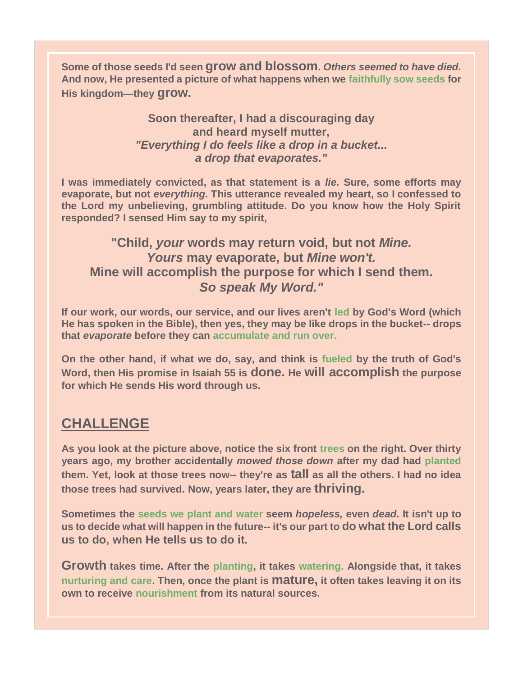**Some of those seeds I'd seen grow and blossom.** *Others seemed to have died.* **And now, He presented a picture of what happens when we faithfully sow seeds for His kingdom—they grow.**

#### **Soon thereafter, I had a discouraging day and heard myself mutter,**  *"Everything I do feels like a drop in a bucket... a drop that evaporates."*

**I was immediately convicted, as that statement is a** *lie.* **Sure, some efforts may evaporate, but not** *everything.* **This utterance revealed my heart, so I confessed to the Lord my unbelieving, grumbling attitude. Do you know how the Holy Spirit responded? I sensed Him say to my spirit,**

### **"Child,** *your* **words may return void, but not** *Mine. Yours* **may evaporate, but** *Mine won't.*  **Mine will accomplish the purpose for which I send them.**  *So speak My Word."*

**If our work, our words, our service, and our lives aren't led by God's Word (which He has spoken in the Bible), then yes, they may be like drops in the bucket-- drops that** *evaporate* **before they can accumulate and run over.**

**On the other hand, if what we do, say, and think is fueled by the truth of God's Word, then His promise in Isaiah 55 is done. He will accomplish the purpose for which He sends His word through us.**

## **CHALLENGE**

**As you look at the picture above, notice the six front trees on the right. Over thirty years ago, my brother accidentally** *mowed those down* **after my dad had planted them. Yet, look at those trees now-- they're as tall as all the others. I had no idea those trees had survived. Now, years later, they are thriving.**

**Sometimes the seeds we plant and water seem** *hopeless,* **even** *dead.* **It isn't up to us to decide what will happen in the future-- it's our part to do what the Lord calls us to do, when He tells us to do it.**

**Growth takes time. After the planting, it takes watering. Alongside that, it takes nurturing and care. Then, once the plant is mature, it often takes leaving it on its own to receive nourishment from its natural sources.**